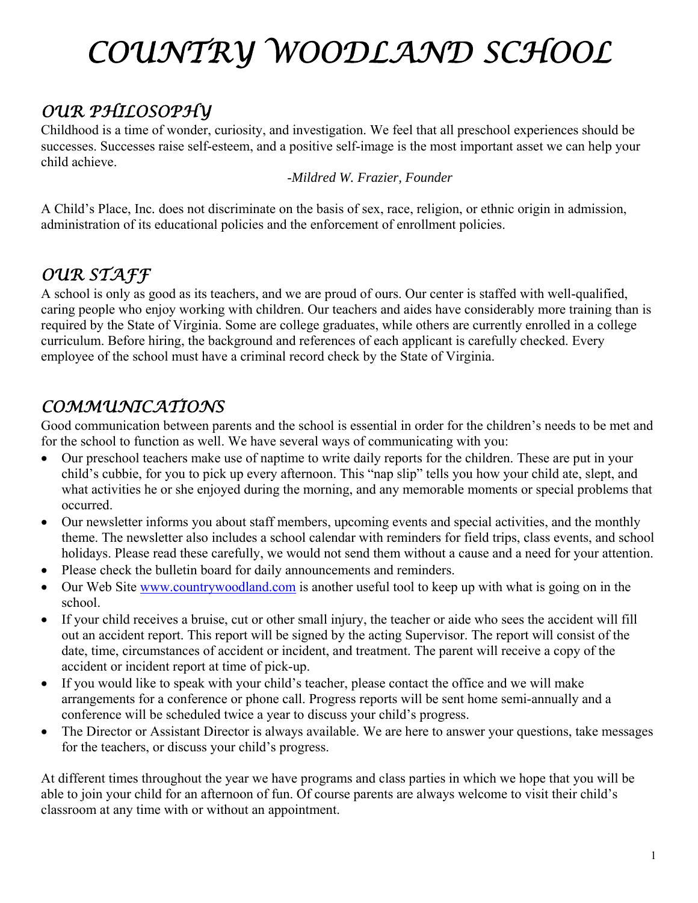# *COUNTRY WOODLAND SCHOOL*

### *OUR PHILOSOPHY*

Childhood is a time of wonder, curiosity, and investigation. We feel that all preschool experiences should be successes. Successes raise self-esteem, and a positive self-image is the most important asset we can help your child achieve.

-*Mildred W. Frazier, Founder* 

A Child's Place, Inc*.* does not discriminate on the basis of sex, race, religion, or ethnic origin in admission, administration of its educational policies and the enforcement of enrollment policies.

#### *OUR STAFF*

A school is only as good as its teachers, and we are proud of ours. Our center is staffed with well-qualified, caring people who enjoy working with children. Our teachers and aides have considerably more training than is required by the State of Virginia. Some are college graduates, while others are currently enrolled in a college curriculum. Before hiring, the background and references of each applicant is carefully checked. Every employee of the school must have a criminal record check by the State of Virginia.

#### *COMMUNICATIONS*

Good communication between parents and the school is essential in order for the children's needs to be met and for the school to function as well. We have several ways of communicating with you:

- Our preschool teachers make use of naptime to write daily reports for the children. These are put in your child's cubbie, for you to pick up every afternoon. This "nap slip" tells you how your child ate, slept, and what activities he or she enjoyed during the morning, and any memorable moments or special problems that occurred.
- Our newsletter informs you about staff members, upcoming events and special activities, and the monthly theme. The newsletter also includes a school calendar with reminders for field trips, class events, and school holidays. Please read these carefully, we would not send them without a cause and a need for your attention.
- Please check the bulletin board for daily announcements and reminders.
- Our Web Site www.countrywoodland.com is another useful tool to keep up with what is going on in the school.
- If your child receives a bruise, cut or other small injury, the teacher or aide who sees the accident will fill out an accident report. This report will be signed by the acting Supervisor. The report will consist of the date, time, circumstances of accident or incident, and treatment. The parent will receive a copy of the accident or incident report at time of pick-up.
- If you would like to speak with your child's teacher, please contact the office and we will make arrangements for a conference or phone call. Progress reports will be sent home semi-annually and a conference will be scheduled twice a year to discuss your child's progress.
- The Director or Assistant Director is always available. We are here to answer your questions, take messages for the teachers, or discuss your child's progress.

At different times throughout the year we have programs and class parties in which we hope that you will be able to join your child for an afternoon of fun. Of course parents are always welcome to visit their child's classroom at any time with or without an appointment.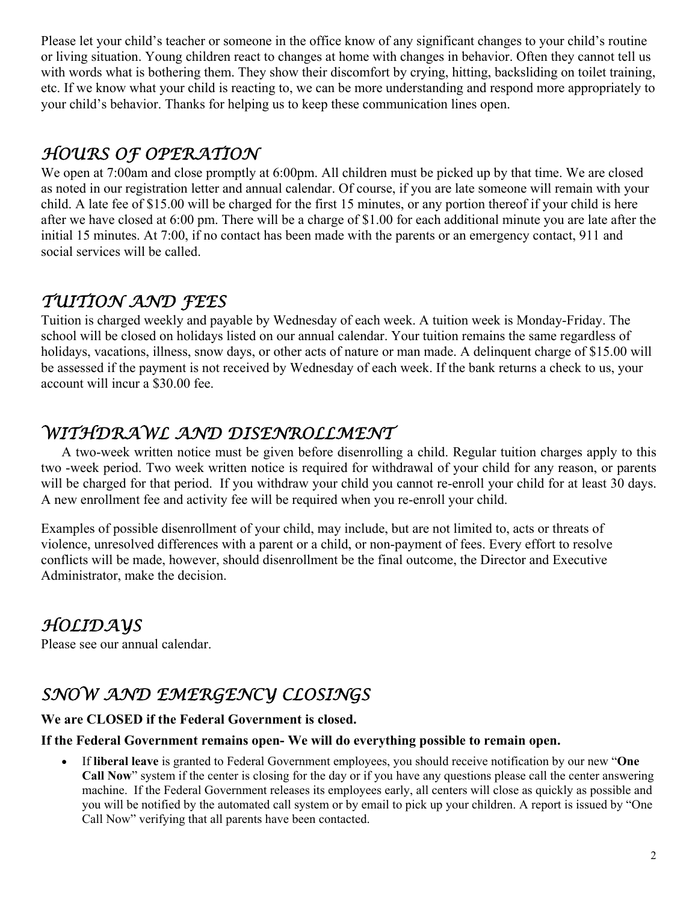Please let your child's teacher or someone in the office know of any significant changes to your child's routine or living situation. Young children react to changes at home with changes in behavior. Often they cannot tell us with words what is bothering them. They show their discomfort by crying, hitting, backsliding on toilet training, etc. If we know what your child is reacting to, we can be more understanding and respond more appropriately to your child's behavior. Thanks for helping us to keep these communication lines open.

#### *HOURS OF OPERATION*

We open at 7:00am and close promptly at 6:00pm. All children must be picked up by that time. We are closed as noted in our registration letter and annual calendar. Of course, if you are late someone will remain with your child. A late fee of \$15.00 will be charged for the first 15 minutes, or any portion thereof if your child is here after we have closed at 6:00 pm. There will be a charge of \$1.00 for each additional minute you are late after the initial 15 minutes. At 7:00, if no contact has been made with the parents or an emergency contact, 911 and social services will be called.

#### *TUITION AND FEES*

Tuition is charged weekly and payable by Wednesday of each week. A tuition week is Monday-Friday. The school will be closed on holidays listed on our annual calendar. Your tuition remains the same regardless of holidays, vacations, illness, snow days, or other acts of nature or man made. A delinquent charge of \$15.00 will be assessed if the payment is not received by Wednesday of each week. If the bank returns a check to us, your account will incur a \$30.00 fee.

#### *WITHDRAWL AND DISENROLLMENT*

A two-week written notice must be given before disenrolling a child. Regular tuition charges apply to this two -week period. Two week written notice is required for withdrawal of your child for any reason, or parents will be charged for that period. If you withdraw your child you cannot re-enroll your child for at least 30 days. A new enrollment fee and activity fee will be required when you re-enroll your child.

Examples of possible disenrollment of your child, may include, but are not limited to, acts or threats of violence, unresolved differences with a parent or a child, or non-payment of fees. Every effort to resolve conflicts will be made, however, should disenrollment be the final outcome, the Director and Executive Administrator, make the decision.

#### *HOLIDAYS*

Please see our annual calendar.

#### *SNOW AND EMERGENCY CLOSINGS*

#### **We are CLOSED if the Federal Government is closed.**

#### **If the Federal Government remains open- We will do everything possible to remain open.**

 If **liberal leave** is granted to Federal Government employees, you should receive notification by our new "**One Call Now**" system if the center is closing for the day or if you have any questions please call the center answering machine. If the Federal Government releases its employees early, all centers will close as quickly as possible and you will be notified by the automated call system or by email to pick up your children. A report is issued by "One Call Now" verifying that all parents have been contacted.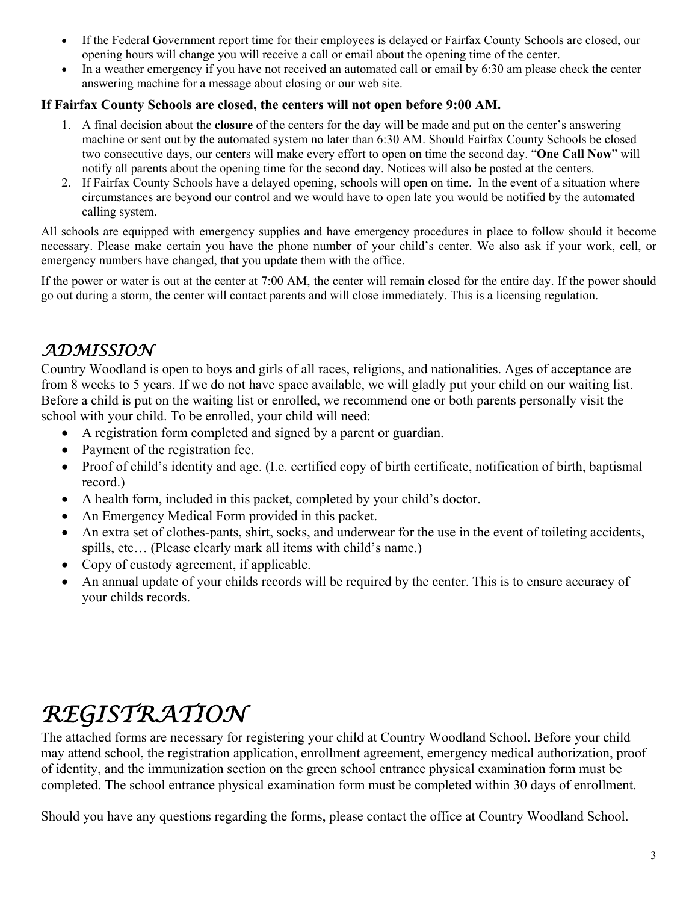- If the Federal Government report time for their employees is delayed or Fairfax County Schools are closed, our opening hours will change you will receive a call or email about the opening time of the center.
- In a weather emergency if you have not received an automated call or email by 6:30 am please check the center answering machine for a message about closing or our web site.

#### **If Fairfax County Schools are closed, the centers will not open before 9:00 AM.**

- 1. A final decision about the **closure** of the centers for the day will be made and put on the center's answering machine or sent out by the automated system no later than 6:30 AM. Should Fairfax County Schools be closed two consecutive days, our centers will make every effort to open on time the second day. "**One Call Now**" will notify all parents about the opening time for the second day. Notices will also be posted at the centers.
- 2. If Fairfax County Schools have a delayed opening, schools will open on time. In the event of a situation where circumstances are beyond our control and we would have to open late you would be notified by the automated calling system.

All schools are equipped with emergency supplies and have emergency procedures in place to follow should it become necessary. Please make certain you have the phone number of your child's center. We also ask if your work, cell, or emergency numbers have changed, that you update them with the office.

If the power or water is out at the center at 7:00 AM, the center will remain closed for the entire day. If the power should go out during a storm, the center will contact parents and will close immediately. This is a licensing regulation.

#### *ADMISSION*

Country Woodland is open to boys and girls of all races, religions, and nationalities. Ages of acceptance are from 8 weeks to 5 years. If we do not have space available, we will gladly put your child on our waiting list. Before a child is put on the waiting list or enrolled, we recommend one or both parents personally visit the school with your child. To be enrolled, your child will need:

- A registration form completed and signed by a parent or guardian.
- Payment of the registration fee.
- Proof of child's identity and age. (I.e. certified copy of birth certificate, notification of birth, baptismal record.)
- A health form, included in this packet, completed by your child's doctor.
- An Emergency Medical Form provided in this packet.
- An extra set of clothes-pants, shirt, socks, and underwear for the use in the event of toileting accidents, spills, etc… (Please clearly mark all items with child's name.)
- Copy of custody agreement, if applicable.
- An annual update of your childs records will be required by the center. This is to ensure accuracy of your childs records.

## *REGISTRATION*

The attached forms are necessary for registering your child at Country Woodland School. Before your child may attend school, the registration application, enrollment agreement, emergency medical authorization, proof of identity, and the immunization section on the green school entrance physical examination form must be completed. The school entrance physical examination form must be completed within 30 days of enrollment.

Should you have any questions regarding the forms, please contact the office at Country Woodland School.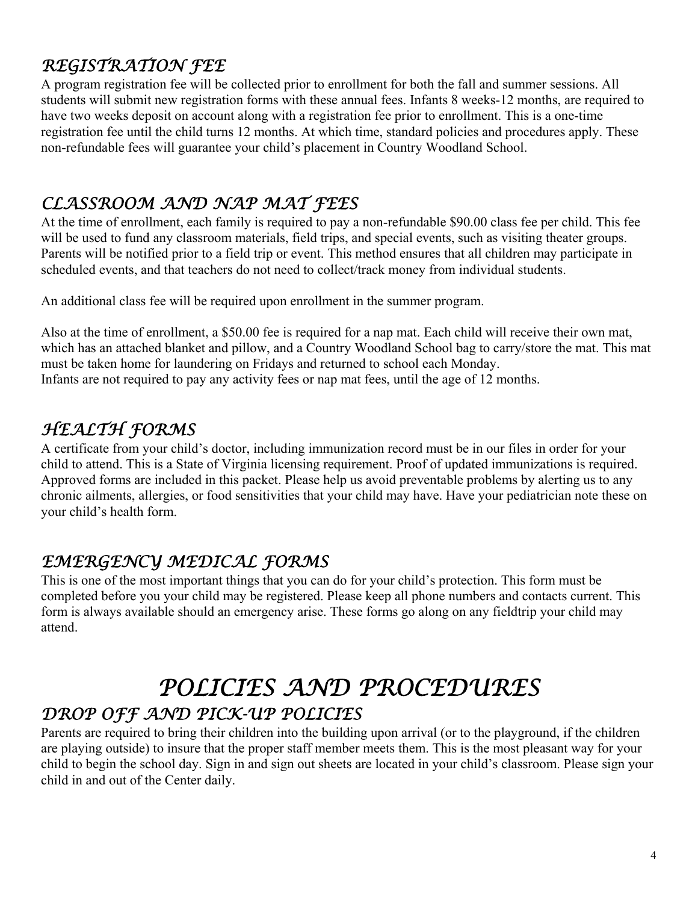#### *REGISTRATION FEE*

A program registration fee will be collected prior to enrollment for both the fall and summer sessions. All students will submit new registration forms with these annual fees. Infants 8 weeks-12 months, are required to have two weeks deposit on account along with a registration fee prior to enrollment. This is a one-time registration fee until the child turns 12 months. At which time, standard policies and procedures apply. These non-refundable fees will guarantee your child's placement in Country Woodland School.

#### *CLASSROOM AND NAP MAT FEES*

At the time of enrollment, each family is required to pay a non-refundable \$90.00 class fee per child. This fee will be used to fund any classroom materials, field trips, and special events, such as visiting theater groups. Parents will be notified prior to a field trip or event. This method ensures that all children may participate in scheduled events, and that teachers do not need to collect/track money from individual students.

An additional class fee will be required upon enrollment in the summer program.

Also at the time of enrollment, a \$50.00 fee is required for a nap mat. Each child will receive their own mat, which has an attached blanket and pillow, and a Country Woodland School bag to carry/store the mat. This mat must be taken home for laundering on Fridays and returned to school each Monday. Infants are not required to pay any activity fees or nap mat fees, until the age of 12 months.

#### *HEALTH FORMS*

A certificate from your child's doctor, including immunization record must be in our files in order for your child to attend. This is a State of Virginia licensing requirement. Proof of updated immunizations is required. Approved forms are included in this packet. Please help us avoid preventable problems by alerting us to any chronic ailments, allergies, or food sensitivities that your child may have. Have your pediatrician note these on your child's health form.

#### *EMERGENCY MEDICAL FORMS*

This is one of the most important things that you can do for your child's protection. This form must be completed before you your child may be registered. Please keep all phone numbers and contacts current. This form is always available should an emergency arise. These forms go along on any fieldtrip your child may attend.

### *POLICIES AND PROCEDURES DROP OFF AND PICK-UP POLICIES*

Parents are required to bring their children into the building upon arrival (or to the playground, if the children are playing outside) to insure that the proper staff member meets them. This is the most pleasant way for your child to begin the school day. Sign in and sign out sheets are located in your child's classroom. Please sign your child in and out of the Center daily.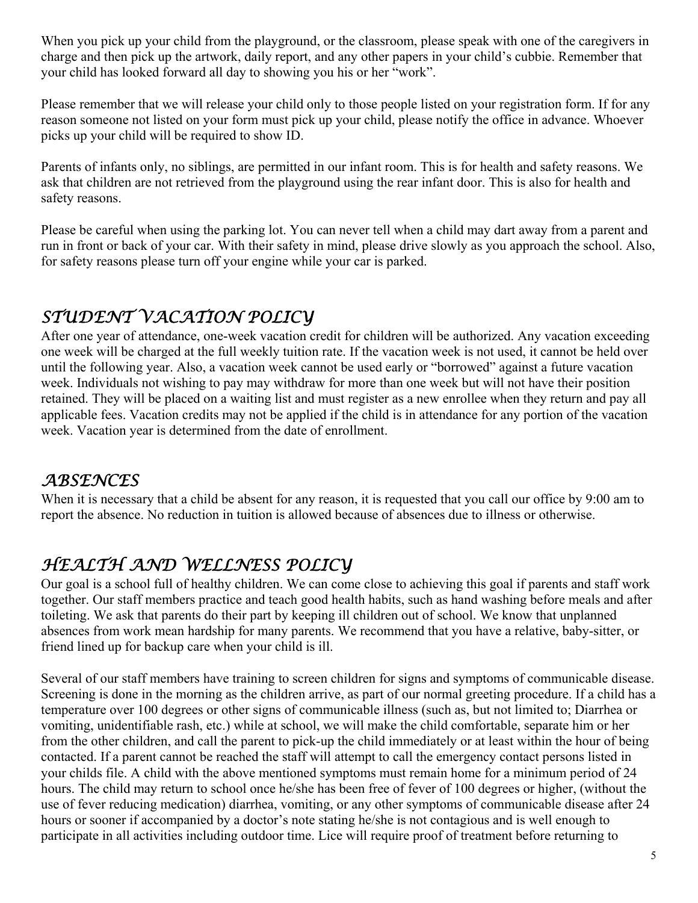When you pick up your child from the playground, or the classroom, please speak with one of the caregivers in charge and then pick up the artwork, daily report, and any other papers in your child's cubbie. Remember that your child has looked forward all day to showing you his or her "work".

Please remember that we will release your child only to those people listed on your registration form. If for any reason someone not listed on your form must pick up your child, please notify the office in advance. Whoever picks up your child will be required to show ID.

Parents of infants only, no siblings, are permitted in our infant room. This is for health and safety reasons. We ask that children are not retrieved from the playground using the rear infant door. This is also for health and safety reasons.

Please be careful when using the parking lot. You can never tell when a child may dart away from a parent and run in front or back of your car. With their safety in mind, please drive slowly as you approach the school. Also, for safety reasons please turn off your engine while your car is parked.

#### *STUDENT VACATION POLICY*

After one year of attendance, one-week vacation credit for children will be authorized. Any vacation exceeding one week will be charged at the full weekly tuition rate. If the vacation week is not used, it cannot be held over until the following year. Also, a vacation week cannot be used early or "borrowed" against a future vacation week. Individuals not wishing to pay may withdraw for more than one week but will not have their position retained. They will be placed on a waiting list and must register as a new enrollee when they return and pay all applicable fees. Vacation credits may not be applied if the child is in attendance for any portion of the vacation week. Vacation year is determined from the date of enrollment.

#### *ABSENCES*

When it is necessary that a child be absent for any reason, it is requested that you call our office by 9:00 am to report the absence. No reduction in tuition is allowed because of absences due to illness or otherwise.

#### *HEALTH AND WELLNESS POLICY*

Our goal is a school full of healthy children. We can come close to achieving this goal if parents and staff work together. Our staff members practice and teach good health habits, such as hand washing before meals and after toileting. We ask that parents do their part by keeping ill children out of school. We know that unplanned absences from work mean hardship for many parents. We recommend that you have a relative, baby-sitter, or friend lined up for backup care when your child is ill.

Several of our staff members have training to screen children for signs and symptoms of communicable disease. Screening is done in the morning as the children arrive, as part of our normal greeting procedure. If a child has a temperature over 100 degrees or other signs of communicable illness (such as, but not limited to; Diarrhea or vomiting, unidentifiable rash, etc.) while at school, we will make the child comfortable, separate him or her from the other children, and call the parent to pick-up the child immediately or at least within the hour of being contacted. If a parent cannot be reached the staff will attempt to call the emergency contact persons listed in your childs file. A child with the above mentioned symptoms must remain home for a minimum period of 24 hours. The child may return to school once he/she has been free of fever of 100 degrees or higher, (without the use of fever reducing medication) diarrhea, vomiting, or any other symptoms of communicable disease after 24 hours or sooner if accompanied by a doctor's note stating he/she is not contagious and is well enough to participate in all activities including outdoor time. Lice will require proof of treatment before returning to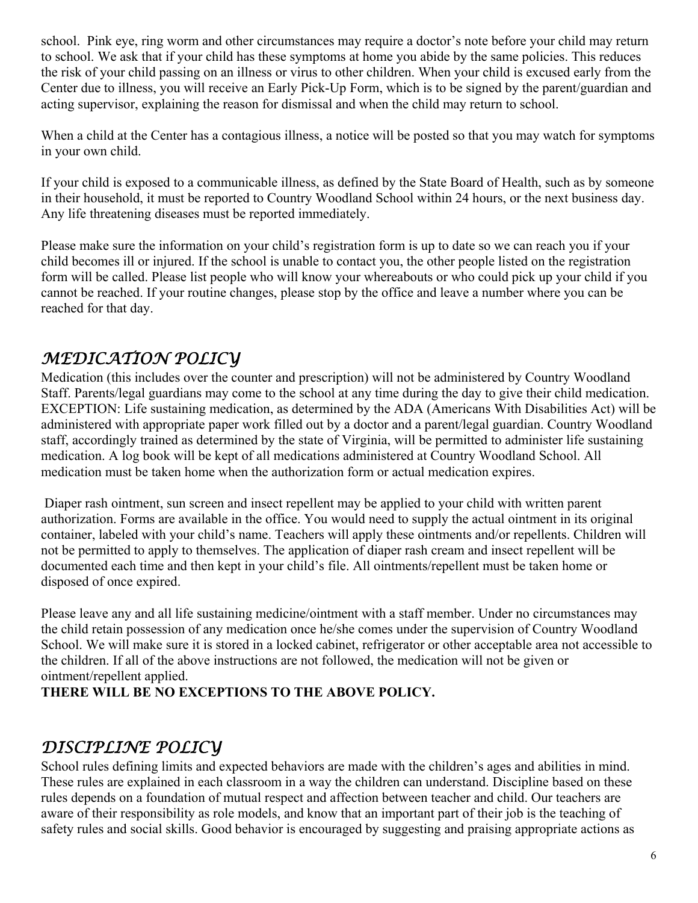school. Pink eye, ring worm and other circumstances may require a doctor's note before your child may return to school. We ask that if your child has these symptoms at home you abide by the same policies. This reduces the risk of your child passing on an illness or virus to other children. When your child is excused early from the Center due to illness, you will receive an Early Pick-Up Form, which is to be signed by the parent/guardian and acting supervisor, explaining the reason for dismissal and when the child may return to school.

When a child at the Center has a contagious illness, a notice will be posted so that you may watch for symptoms in your own child.

If your child is exposed to a communicable illness, as defined by the State Board of Health, such as by someone in their household, it must be reported to Country Woodland School within 24 hours, or the next business day. Any life threatening diseases must be reported immediately.

Please make sure the information on your child's registration form is up to date so we can reach you if your child becomes ill or injured. If the school is unable to contact you, the other people listed on the registration form will be called. Please list people who will know your whereabouts or who could pick up your child if you cannot be reached. If your routine changes, please stop by the office and leave a number where you can be reached for that day.

#### *MEDICATION POLICY*

Medication (this includes over the counter and prescription) will not be administered by Country Woodland Staff. Parents/legal guardians may come to the school at any time during the day to give their child medication. EXCEPTION: Life sustaining medication, as determined by the ADA (Americans With Disabilities Act) will be administered with appropriate paper work filled out by a doctor and a parent/legal guardian. Country Woodland staff, accordingly trained as determined by the state of Virginia, will be permitted to administer life sustaining medication. A log book will be kept of all medications administered at Country Woodland School. All medication must be taken home when the authorization form or actual medication expires.

 Diaper rash ointment, sun screen and insect repellent may be applied to your child with written parent authorization. Forms are available in the office. You would need to supply the actual ointment in its original container, labeled with your child's name. Teachers will apply these ointments and/or repellents. Children will not be permitted to apply to themselves. The application of diaper rash cream and insect repellent will be documented each time and then kept in your child's file. All ointments/repellent must be taken home or disposed of once expired.

Please leave any and all life sustaining medicine/ointment with a staff member. Under no circumstances may the child retain possession of any medication once he/she comes under the supervision of Country Woodland School. We will make sure it is stored in a locked cabinet, refrigerator or other acceptable area not accessible to the children. If all of the above instructions are not followed, the medication will not be given or ointment/repellent applied.

**THERE WILL BE NO EXCEPTIONS TO THE ABOVE POLICY.** 

#### *DISCIPLINE POLICY*

School rules defining limits and expected behaviors are made with the children's ages and abilities in mind. These rules are explained in each classroom in a way the children can understand. Discipline based on these rules depends on a foundation of mutual respect and affection between teacher and child. Our teachers are aware of their responsibility as role models, and know that an important part of their job is the teaching of safety rules and social skills. Good behavior is encouraged by suggesting and praising appropriate actions as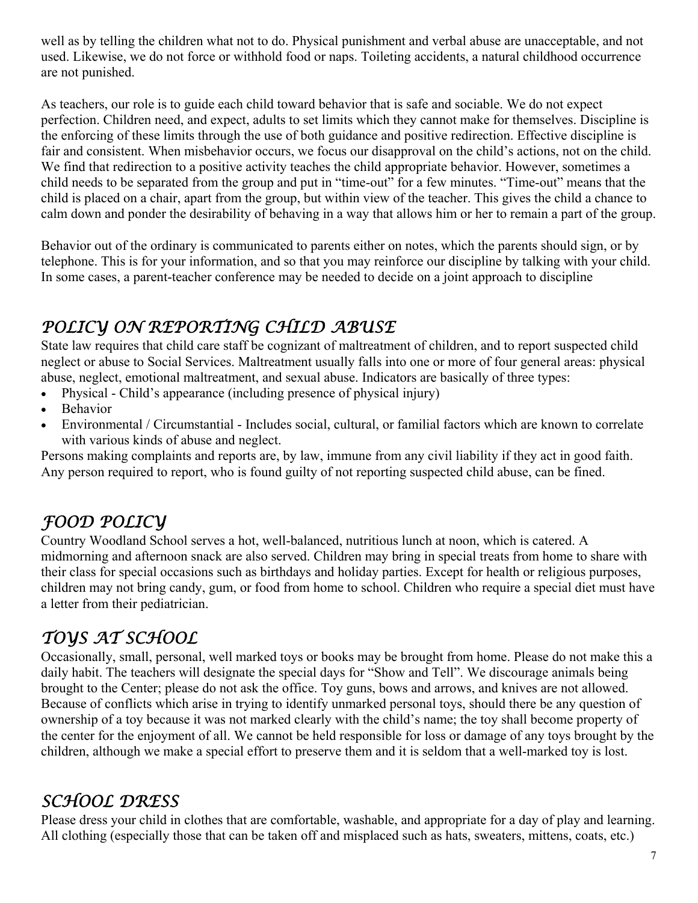well as by telling the children what not to do. Physical punishment and verbal abuse are unacceptable, and not used. Likewise, we do not force or withhold food or naps. Toileting accidents, a natural childhood occurrence are not punished.

As teachers, our role is to guide each child toward behavior that is safe and sociable. We do not expect perfection. Children need, and expect, adults to set limits which they cannot make for themselves. Discipline is the enforcing of these limits through the use of both guidance and positive redirection. Effective discipline is fair and consistent. When misbehavior occurs, we focus our disapproval on the child's actions, not on the child. We find that redirection to a positive activity teaches the child appropriate behavior. However, sometimes a child needs to be separated from the group and put in "time-out" for a few minutes. "Time-out" means that the child is placed on a chair, apart from the group, but within view of the teacher. This gives the child a chance to calm down and ponder the desirability of behaving in a way that allows him or her to remain a part of the group.

Behavior out of the ordinary is communicated to parents either on notes, which the parents should sign, or by telephone. This is for your information, and so that you may reinforce our discipline by talking with your child. In some cases, a parent-teacher conference may be needed to decide on a joint approach to discipline

#### *POLICY ON REPORTING CHILD ABUSE*

State law requires that child care staff be cognizant of maltreatment of children, and to report suspected child neglect or abuse to Social Services. Maltreatment usually falls into one or more of four general areas: physical abuse, neglect, emotional maltreatment, and sexual abuse. Indicators are basically of three types:

- Physical Child's appearance (including presence of physical injury)
- Behavior
- Environmental / Circumstantial Includes social, cultural, or familial factors which are known to correlate with various kinds of abuse and neglect.

Persons making complaints and reports are, by law, immune from any civil liability if they act in good faith. Any person required to report, who is found guilty of not reporting suspected child abuse, can be fined.

### *FOOD POLICY*

Country Woodland School serves a hot, well-balanced, nutritious lunch at noon, which is catered. A midmorning and afternoon snack are also served. Children may bring in special treats from home to share with their class for special occasions such as birthdays and holiday parties. Except for health or religious purposes, children may not bring candy, gum, or food from home to school. Children who require a special diet must have a letter from their pediatrician.

### *TOYS AT SCHOOL*

Occasionally, small, personal, well marked toys or books may be brought from home. Please do not make this a daily habit. The teachers will designate the special days for "Show and Tell". We discourage animals being brought to the Center; please do not ask the office. Toy guns, bows and arrows, and knives are not allowed. Because of conflicts which arise in trying to identify unmarked personal toys, should there be any question of ownership of a toy because it was not marked clearly with the child's name; the toy shall become property of the center for the enjoyment of all. We cannot be held responsible for loss or damage of any toys brought by the children, although we make a special effort to preserve them and it is seldom that a well-marked toy is lost.

#### *SCHOOL DRESS*

Please dress your child in clothes that are comfortable, washable, and appropriate for a day of play and learning. All clothing (especially those that can be taken off and misplaced such as hats, sweaters, mittens, coats, etc.)